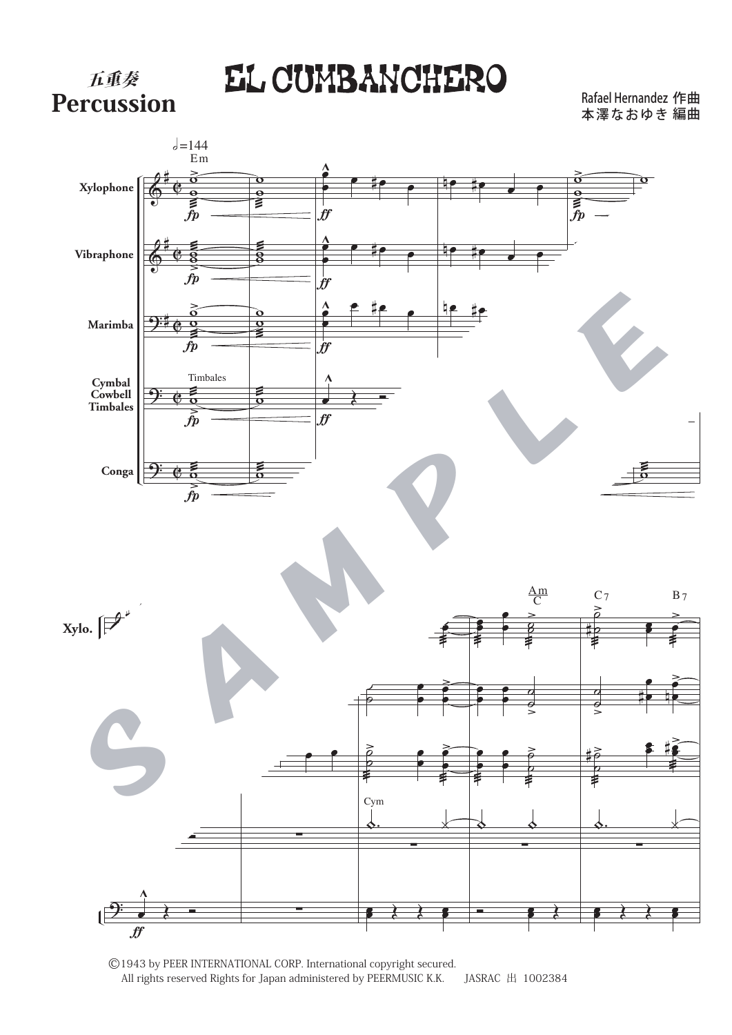**FAEL CUMBANCHERO**<br>Percussion

五重奏

本澤なおゆき 編曲 Rafael Hernandez 作曲



©1943 by PEER INTERNATIONAL CORP. International copyright secured. All rights reserved Rights for Japan administered by PEERMUSIC K.K. JASRAC 出 1002384